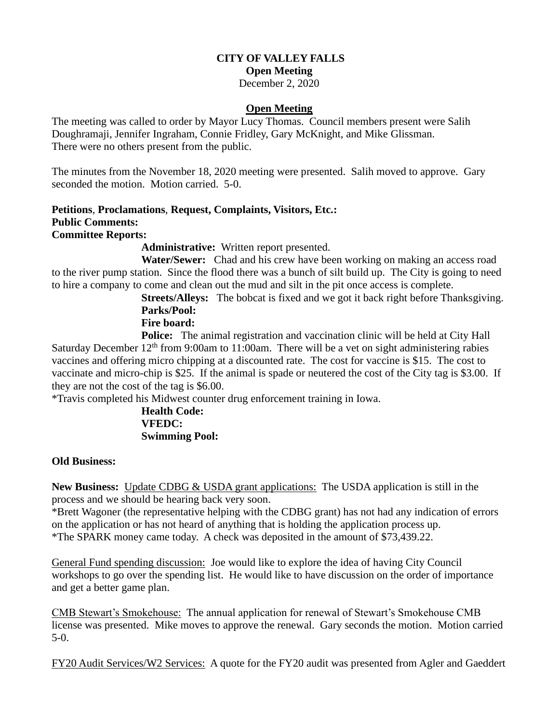# **CITY OF VALLEY FALLS Open Meeting**

December 2, 2020

## **Open Meeting**

The meeting was called to order by Mayor Lucy Thomas. Council members present were Salih Doughramaji, Jennifer Ingraham, Connie Fridley, Gary McKnight, and Mike Glissman. There were no others present from the public.

The minutes from the November 18, 2020 meeting were presented. Salih moved to approve. Gary seconded the motion. Motion carried. 5-0.

#### **Petitions**, **Proclamations**, **Request, Complaints, Visitors, Etc.: Public Comments: Committee Reports:**

**Administrative:** Written report presented.

 **Water/Sewer:** Chad and his crew have been working on making an access road to the river pump station. Since the flood there was a bunch of silt build up. The City is going to need to hire a company to come and clean out the mud and silt in the pit once access is complete.

**Streets/Alleys:** The bobcat is fixed and we got it back right before Thanksgiving. **Parks/Pool:**

# **Fire board:**

**Police:** The animal registration and vaccination clinic will be held at City Hall Saturday December  $12<sup>th</sup>$  from 9:00am to 11:00am. There will be a vet on sight administering rabies vaccines and offering micro chipping at a discounted rate. The cost for vaccine is \$15. The cost to vaccinate and micro-chip is \$25. If the animal is spade or neutered the cost of the City tag is \$3.00. If they are not the cost of the tag is \$6.00.

\*Travis completed his Midwest counter drug enforcement training in Iowa.

## **Health Code: VFEDC: Swimming Pool:**

### **Old Business:**

**New Business:** Update CDBG & USDA grant applications: The USDA application is still in the process and we should be hearing back very soon.

\*Brett Wagoner (the representative helping with the CDBG grant) has not had any indication of errors on the application or has not heard of anything that is holding the application process up. \*The SPARK money came today. A check was deposited in the amount of \$73,439.22.

General Fund spending discussion: Joe would like to explore the idea of having City Council workshops to go over the spending list. He would like to have discussion on the order of importance and get a better game plan.

CMB Stewart's Smokehouse: The annual application for renewal of Stewart's Smokehouse CMB license was presented. Mike moves to approve the renewal. Gary seconds the motion. Motion carried 5-0.

FY20 Audit Services/W2 Services: A quote for the FY20 audit was presented from Agler and Gaeddert